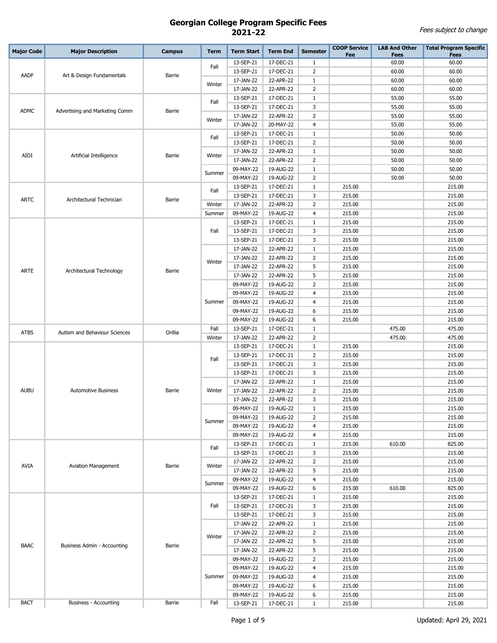| <b>Major Code</b> | <b>Major Description</b>       | <b>Campus</b> | <b>Term</b> | <b>Term Start</b> | <b>Term End</b> | <b>Semester</b> | <b>COOP Service</b><br>Fee | <b>LAB And Other</b><br><b>Fees</b> | <b>Total Program Specific</b><br><b>Fees</b> |
|-------------------|--------------------------------|---------------|-------------|-------------------|-----------------|-----------------|----------------------------|-------------------------------------|----------------------------------------------|
|                   |                                |               |             | 13-SEP-21         | 17-DEC-21       | $\mathbf{1}$    |                            | 60.00                               | 60.00                                        |
|                   |                                |               | Fall        | 13-SEP-21         | 17-DEC-21       | $\overline{2}$  |                            | 60.00                               | 60.00                                        |
| AADF              | Art & Design Fundamentals      | Barrie        |             | 17-JAN-22         | 22-APR-22       | $\mathbf{1}$    |                            | 60.00                               | 60.00                                        |
|                   |                                |               | Winter      | 17-JAN-22         | 22-APR-22       | $\overline{2}$  |                            | 60.00                               | 60.00                                        |
|                   |                                |               |             | 13-SEP-21         | 17-DEC-21       | $\mathbf{1}$    |                            | 55.00                               | 55.00                                        |
|                   |                                |               | Fall        | 13-SEP-21         | 17-DEC-21       | 3               |                            | 55.00                               | 55.00                                        |
| <b>ADMC</b>       | Advertising and Marketing Comm | Barrie        |             | 17-JAN-22         | 22-APR-22       | $\overline{2}$  |                            | 55.00                               | 55.00                                        |
|                   |                                |               | Winter      | 17-JAN-22         | 20-MAY-22       | $\overline{4}$  |                            | 55.00                               | 55.00                                        |
|                   |                                |               |             | 13-SEP-21         | 17-DEC-21       | $\mathbf{1}$    |                            | 50.00                               | 50.00                                        |
|                   |                                |               | Fall        | 13-SEP-21         | 17-DEC-21       | $\overline{2}$  |                            | 50.00                               | 50.00                                        |
|                   |                                |               |             | 17-JAN-22         | 22-APR-22       | $\mathbf{1}$    |                            | 50.00                               | 50.00                                        |
| AIDI              | Artificial Intelligence        | Barrie        | Winter      | 17-JAN-22         | 22-APR-22       | $\overline{2}$  |                            | 50.00                               | 50.00                                        |
|                   |                                |               |             | 09-MAY-22         | 19-AUG-22       | $1\,$           |                            | 50.00                               | 50.00                                        |
|                   |                                |               | Summer      | 09-MAY-22         | 19-AUG-22       | $\overline{2}$  |                            | 50.00                               | 50.00                                        |
|                   |                                |               |             | 13-SEP-21         | 17-DEC-21       | $\mathbf{1}$    | 215.00                     |                                     | 215.00                                       |
|                   |                                |               | Fall        | 13-SEP-21         | 17-DEC-21       | 3               | 215.00                     |                                     | 215.00                                       |
| <b>ARTC</b>       | Architectural Technician       | Barrie        | Winter      | 17-JAN-22         | 22-APR-22       | $\overline{2}$  | 215.00                     |                                     | 215.00                                       |
|                   |                                |               | Summer      | 09-MAY-22         | 19-AUG-22       | $\overline{4}$  | 215.00                     |                                     | 215.00                                       |
|                   |                                |               |             | 13-SEP-21         | 17-DEC-21       | $\mathbf{1}$    | 215.00                     |                                     | 215.00                                       |
|                   |                                |               | Fall        | 13-SEP-21         | 17-DEC-21       | 3               | 215.00                     |                                     | 215.00                                       |
|                   |                                |               |             | 13-SEP-21         | 17-DEC-21       | 3               | 215.00                     |                                     | 215.00                                       |
|                   |                                |               |             | 17-JAN-22         | 22-APR-22       | $\mathbf{1}$    | 215.00                     |                                     | 215.00                                       |
|                   |                                |               | Winter      | 17-JAN-22         | 22-APR-22       | $\overline{2}$  | 215.00                     |                                     | 215.00                                       |
| ARTE              | Architectural Technology       | Barrie        |             | 17-JAN-22         | 22-APR-22       | 5               | 215.00                     |                                     | 215.00                                       |
|                   |                                |               |             | 17-JAN-22         | 22-APR-22       | 5               | 215.00                     |                                     | 215.00                                       |
|                   |                                |               |             | 09-MAY-22         | 19-AUG-22       | $\overline{2}$  | 215.00                     |                                     | 215.00                                       |
|                   |                                |               |             | 09-MAY-22         | 19-AUG-22       | $\overline{4}$  | 215.00                     |                                     | 215.00                                       |
|                   |                                |               | Summer      | 09-MAY-22         | 19-AUG-22       | $\overline{4}$  | 215.00                     |                                     | 215.00                                       |
|                   |                                |               |             | 09-MAY-22         | 19-AUG-22       | 6               | 215.00                     |                                     | 215.00                                       |
|                   |                                |               |             | 09-MAY-22         | 19-AUG-22       | 6               | 215.00                     |                                     | 215.00                                       |
| <b>ATBS</b>       | Autism and Behaviour Sciences  | Orillia       | Fall        | 13-SEP-21         | 17-DEC-21       | $\mathbf{1}$    |                            | 475.00                              | 475.00                                       |
|                   |                                |               | Winter      | 17-JAN-22         | 22-APR-22       | $\overline{2}$  |                            | 475.00                              | 475.00                                       |
|                   |                                |               |             | 13-SEP-21         | 17-DEC-21       | $\mathbf{1}$    | 215.00                     |                                     | 215.00                                       |
|                   |                                |               | Fall        | 13-SEP-21         | 17-DEC-21       | $\overline{2}$  | 215.00                     |                                     | 215.00                                       |
|                   | <b>Automotive Business</b>     | Barrie        |             | 13-SEP-21         | 17-DEC-21       | 3               | 215.00                     |                                     | 215.00                                       |
|                   |                                |               |             | 13-SEP-21         | 17-DEC-21       | 3               | 215.00                     |                                     | 215.00                                       |
|                   |                                |               | Winter      | 17-JAN-22         | 22-APR-22       | $\mathbf{1}$    | 215.00                     |                                     | 215.00                                       |
| <b>AUBU</b>       |                                |               |             | 17-JAN-22         | 22-APR-22       | $\overline{2}$  | 215.00                     |                                     | 215.00                                       |
|                   |                                |               |             | 17-JAN-22         | 22-APR-22       | 3               | 215.00                     |                                     | 215.00                                       |
|                   |                                |               |             | 09-MAY-22         | 19-AUG-22       | 1               | 215.00                     |                                     | 215.00                                       |
|                   |                                |               | Summer      | 09-MAY-22         | 19-AUG-22       | 2               | 215.00                     |                                     | 215.00                                       |
|                   |                                |               |             | 09-MAY-22         | 19-AUG-22       | 4               | 215.00                     |                                     | 215.00                                       |
|                   |                                |               |             | 09-MAY-22         | 19-AUG-22       | 4               | 215.00                     |                                     | 215.00                                       |
|                   |                                |               | Fall        | 13-SEP-21         | 17-DEC-21       | $\mathbf{1}$    | 215.00                     | 610.00                              | 825.00                                       |
|                   |                                |               |             | 13-SEP-21         | 17-DEC-21       | 3               | 215.00                     |                                     | 215.00                                       |
| AVIA              | <b>Aviation Management</b>     | Barrie        | Winter      | 17-JAN-22         | 22-APR-22       | $\overline{2}$  | 215.00                     |                                     | 215.00                                       |
|                   |                                |               |             | 17-JAN-22         | 22-APR-22       | 5               | 215.00                     |                                     | 215.00                                       |
|                   |                                |               | Summer      | 09-MAY-22         | 19-AUG-22       | 4               | 215.00                     |                                     | 215.00                                       |
|                   |                                |               |             | 09-MAY-22         | 19-AUG-22       | 6               | 215.00                     | 610.00                              | 825.00                                       |
|                   |                                |               |             | 13-SEP-21         | 17-DEC-21       | $\mathbf{1}$    | 215.00                     |                                     | 215.00                                       |
|                   |                                |               | Fall        | 13-SEP-21         | 17-DEC-21       | 3               | 215.00                     |                                     | 215.00                                       |
|                   |                                |               |             | 13-SEP-21         | 17-DEC-21       | 3               | 215.00                     |                                     | 215.00                                       |
|                   |                                |               |             | 17-JAN-22         | 22-APR-22       | $\mathbf{1}$    | 215.00                     |                                     | 215.00                                       |
|                   |                                |               | Winter      | 17-JAN-22         | 22-APR-22       | $\overline{2}$  | 215.00                     |                                     | 215.00                                       |
| <b>BAAC</b>       | Business Admin - Accounting    | Barrie        |             | 17-JAN-22         | 22-APR-22       | 5               | 215.00                     |                                     | 215.00                                       |
|                   |                                |               |             | 17-JAN-22         | 22-APR-22       | 5               | 215.00                     |                                     | 215.00                                       |
|                   |                                |               |             | 09-MAY-22         | 19-AUG-22       | $\overline{2}$  | 215.00                     |                                     | 215.00                                       |
|                   |                                |               |             | 09-MAY-22         | 19-AUG-22       | $\overline{4}$  | 215.00                     |                                     | 215.00                                       |
|                   |                                |               | Summer      | 09-MAY-22         | 19-AUG-22       | 4               | 215.00                     |                                     | 215.00                                       |
|                   |                                |               |             | 09-MAY-22         | 19-AUG-22       | 6               | 215.00                     |                                     | 215.00                                       |
| <b>BACT</b>       | <b>Business - Accounting</b>   |               |             | 09-MAY-22         | 19-AUG-22       | 6               | 215.00                     |                                     | 215.00                                       |
|                   |                                | Barrie        | Fall        | 13-SEP-21         | 17-DEC-21       | $\mathbf{1}$    | 215.00                     |                                     | 215.00                                       |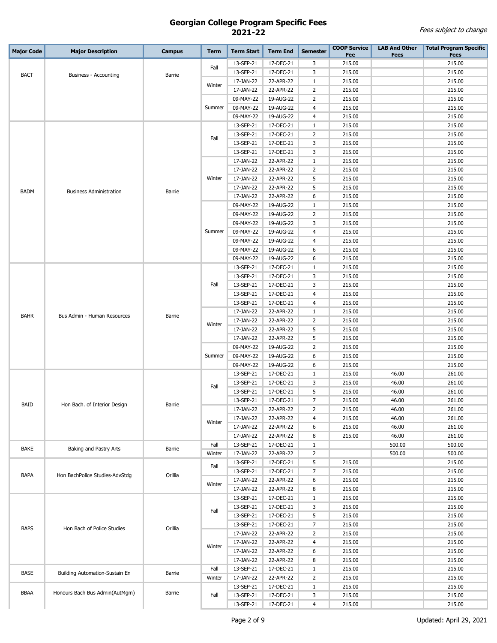| <b>Major Code</b> | <b>Major Description</b>       | <b>Campus</b> | <b>Term</b> | <b>Term Start</b>      | <b>Term End</b>        | <b>Semester</b> | <b>COOP Service</b><br>Fee | <b>LAB And Other</b><br><b>Fees</b> | <b>Total Program Specific</b><br><b>Fees</b> |
|-------------------|--------------------------------|---------------|-------------|------------------------|------------------------|-----------------|----------------------------|-------------------------------------|----------------------------------------------|
|                   |                                |               |             | 13-SEP-21              | 17-DEC-21              | 3               | 215.00                     |                                     | 215.00                                       |
|                   |                                |               | Fall        | 13-SEP-21              | 17-DEC-21              | 3               | 215.00                     |                                     | 215.00                                       |
| <b>BACT</b>       | <b>Business - Accounting</b>   | Barrie        |             | 17-JAN-22              | 22-APR-22              | $\mathbf{1}$    | 215.00                     |                                     | 215.00                                       |
|                   |                                |               | Winter      | 17-JAN-22              | 22-APR-22              | 2               | 215.00                     |                                     | 215.00                                       |
|                   |                                |               |             | 09-MAY-22              | 19-AUG-22              | 2               | 215.00                     |                                     | 215.00                                       |
|                   |                                |               | Summer      | 09-MAY-22              | 19-AUG-22              | $\overline{4}$  | 215.00                     |                                     | 215.00                                       |
|                   |                                |               |             | 09-MAY-22              | 19-AUG-22              | $\overline{4}$  | 215.00                     |                                     | 215.00                                       |
|                   |                                |               |             | 13-SEP-21              | 17-DEC-21              | $\mathbf{1}$    | 215.00                     |                                     | 215.00                                       |
|                   |                                |               |             | 13-SEP-21              | 17-DEC-21              | $\overline{2}$  | 215.00                     |                                     | 215.00                                       |
|                   |                                |               | Fall        | 13-SEP-21              | 17-DEC-21              | 3               | 215.00                     |                                     | 215.00                                       |
|                   |                                |               |             | 13-SEP-21              | 17-DEC-21              | 3               | 215.00                     |                                     | 215.00                                       |
|                   |                                |               |             | 17-JAN-22              | 22-APR-22              | $\mathbf{1}$    | 215.00                     |                                     | 215.00                                       |
|                   |                                |               |             | 17-JAN-22              | 22-APR-22              | 2               | 215.00                     |                                     | 215.00                                       |
|                   |                                |               | Winter      | 17-JAN-22              | 22-APR-22              | 5               | 215.00                     |                                     | 215.00                                       |
| <b>BADM</b>       | <b>Business Administration</b> | Barrie        |             | 17-JAN-22              | 22-APR-22              | 5               | 215.00                     |                                     | 215.00                                       |
|                   |                                |               |             | 17-JAN-22              | 22-APR-22              | 6               | 215.00                     |                                     | 215.00                                       |
|                   |                                |               |             | 09-MAY-22              | 19-AUG-22              | $\mathbf{1}$    | 215.00                     |                                     | 215.00                                       |
|                   |                                |               |             | 09-MAY-22              | 19-AUG-22              | 2               | 215.00                     |                                     | 215.00                                       |
|                   |                                |               |             | 09-MAY-22              | 19-AUG-22              | 3               | 215.00                     |                                     | 215.00                                       |
|                   |                                |               | Summer      | 09-MAY-22              | 19-AUG-22              | $\overline{4}$  | 215.00                     |                                     | 215.00                                       |
|                   |                                |               |             | 09-MAY-22              | 19-AUG-22              | $\overline{4}$  | 215.00                     |                                     | 215.00                                       |
|                   |                                |               |             | 09-MAY-22              | 19-AUG-22              | 6               | 215.00                     |                                     | 215.00                                       |
|                   |                                |               |             | 09-MAY-22              | 19-AUG-22              | 6               | 215.00                     |                                     | 215.00                                       |
|                   |                                |               |             | 13-SEP-21              | 17-DEC-21              | $\mathbf{1}$    | 215.00                     |                                     | 215.00                                       |
|                   |                                |               |             | 13-SEP-21              | 17-DEC-21              | 3               | 215.00                     |                                     | 215.00                                       |
| <b>BAHR</b>       |                                |               | Fall        | 13-SEP-21              | 17-DEC-21              | 3               | 215.00                     |                                     | 215.00                                       |
|                   |                                |               |             | 13-SEP-21              | 17-DEC-21              | $\overline{4}$  | 215.00                     |                                     | 215.00                                       |
|                   |                                |               |             | 13-SEP-21              | 17-DEC-21              | 4               | 215.00                     |                                     | 215.00                                       |
|                   | Bus Admin - Human Resources    | Barrie        |             | 17-JAN-22              | 22-APR-22              | 1               | 215.00                     |                                     | 215.00                                       |
|                   |                                |               | Winter      | 17-JAN-22              | 22-APR-22              | 2               | 215.00                     |                                     | 215.00                                       |
|                   |                                |               |             | 17-JAN-22              | 22-APR-22              | 5               | 215.00                     |                                     | 215.00                                       |
|                   |                                |               |             | 17-JAN-22              | 22-APR-22              | 5               | 215.00                     |                                     | 215.00                                       |
|                   |                                |               | Summer      | 09-MAY-22              | 19-AUG-22              | $\overline{2}$  | 215.00                     |                                     | 215.00                                       |
|                   |                                |               |             | 09-MAY-22<br>09-MAY-22 | 19-AUG-22<br>19-AUG-22 | 6<br>6          | 215.00<br>215.00           |                                     | 215.00<br>215.00                             |
|                   |                                |               |             | 13-SEP-21              | 17-DEC-21              | $\mathbf{1}$    | 215.00                     | 46.00                               | 261.00                                       |
|                   |                                | Barrie        | Fall        | 13-SEP-21              | 17-DEC-21              | 3               | 215.00                     | 46.00                               | 261.00                                       |
|                   |                                |               |             | 13-SEP-21              | 17-DEC-21              | 5               | 215.00                     | 46.00                               | 261.00                                       |
|                   |                                |               |             | 13-SEP-21              | 17-DEC-21              | 7               | 215.00                     | 46.00                               | 261.00                                       |
|                   | Hon Bach. of Interior Design   |               |             | 17-JAN-22              | 22-APR-22              | $\overline{2}$  | 215.00                     | 46.00                               | 261.00                                       |
|                   |                                |               |             | 17-JAN-22              | 22-APR-22              | 4               | 215.00                     | 46.00                               | 261.00                                       |
|                   |                                |               | Winter      | 17-JAN-22              | 22-APR-22              | 6               | 215.00                     | 46.00                               | 261.00                                       |
| <b>BAID</b>       |                                |               |             | 17-JAN-22              | 22-APR-22              | 8               | 215.00                     | 46.00                               | 261.00                                       |
|                   |                                |               | Fall        | 13-SEP-21              | 17-DEC-21              | $\mathbf{1}$    |                            | 500.00                              | 500.00                                       |
| <b>BAKE</b>       | Baking and Pastry Arts         | Barrie        | Winter      | 17-JAN-22              | 22-APR-22              | $\overline{2}$  |                            | 500.00                              | 500.00                                       |
|                   |                                |               | Fall        | 13-SEP-21              | 17-DEC-21              | 5               | 215.00                     |                                     | 215.00                                       |
| <b>BAPA</b>       | Hon BachPolice Studies-AdvStdg | Orillia       |             | 13-SEP-21              | 17-DEC-21              | $\overline{7}$  | 215.00                     |                                     | 215.00                                       |
|                   |                                |               | Winter      | 17-JAN-22              | 22-APR-22              | 6               | 215.00                     |                                     | 215.00                                       |
|                   |                                |               |             | 17-JAN-22              | 22-APR-22              | 8               | 215.00                     |                                     | 215.00                                       |
|                   |                                |               |             | 13-SEP-21              | 17-DEC-21              | $\mathbf{1}$    | 215.00                     |                                     | 215.00                                       |
|                   |                                |               | Fall        | 13-SEP-21              | 17-DEC-21              | 3               | 215.00                     |                                     | 215.00                                       |
|                   |                                |               |             | 13-SEP-21              | 17-DEC-21              | 5               | 215.00                     |                                     | 215.00                                       |
| <b>BAPS</b>       | Hon Bach of Police Studies     | Orillia       |             | 13-SEP-21              | 17-DEC-21              | $\overline{7}$  | 215.00                     |                                     | 215.00                                       |
|                   |                                |               |             | 17-JAN-22              | 22-APR-22              | $\overline{2}$  | 215.00                     |                                     | 215.00                                       |
|                   |                                |               | Winter      | 17-JAN-22              | 22-APR-22              | $\overline{4}$  | 215.00                     |                                     | 215.00                                       |
|                   |                                |               |             | 17-JAN-22              | 22-APR-22              | 6               | 215.00                     |                                     | 215.00                                       |
|                   |                                |               |             | 17-JAN-22              | 22-APR-22              | 8               | 215.00                     |                                     | 215.00                                       |
| <b>BASE</b>       | Building Automation-Sustain En | Barrie        | Fall        | 13-SEP-21              | 17-DEC-21              | $\mathbf{1}$    | 215.00                     |                                     | 215.00                                       |
|                   |                                |               | Winter      | 17-JAN-22              | 22-APR-22              | $\overline{2}$  | 215.00                     |                                     | 215.00                                       |
| <b>BBAA</b>       | Honours Bach Bus Admin(AutMgm) | Barrie        |             | 13-SEP-21              | 17-DEC-21              | $\mathbf{1}$    | 215.00                     |                                     | 215.00                                       |
|                   |                                |               | Fall        | 13-SEP-21              | 17-DEC-21              | 3               | 215.00                     |                                     | 215.00                                       |
|                   |                                |               |             | 13-SEP-21              | 17-DEC-21              | $\overline{4}$  | 215.00                     |                                     | 215.00                                       |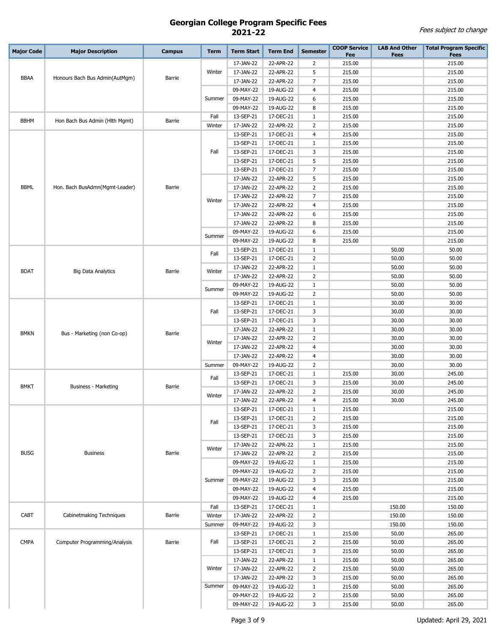| <b>Major Code</b> | <b>Major Description</b>       | <b>Campus</b> | <b>Term</b> | <b>Term Start</b>      | <b>Term End</b>        | <b>Semester</b>                | <b>COOP Service</b> | <b>LAB And Other</b> | <b>Total Program Specific</b> |
|-------------------|--------------------------------|---------------|-------------|------------------------|------------------------|--------------------------------|---------------------|----------------------|-------------------------------|
|                   |                                |               |             |                        |                        |                                | Fee                 | <b>Fees</b>          | <b>Fees</b>                   |
|                   |                                |               |             | 17-JAN-22              | 22-APR-22              | 2                              | 215.00              |                      | 215.00                        |
| <b>BBAA</b>       | Honours Bach Bus Admin(AutMgm) | Barrie        | Winter      | 17-JAN-22              | 22-APR-22              | 5                              | 215.00              |                      | 215.00                        |
|                   |                                |               |             | 17-JAN-22              | 22-APR-22              | $\overline{7}$                 | 215.00              |                      | 215.00                        |
|                   |                                |               |             | 09-MAY-22              | 19-AUG-22              | 4                              | 215.00              |                      | 215.00                        |
|                   |                                |               | Summer      | 09-MAY-22              | 19-AUG-22              | 6                              | 215.00              |                      | 215.00                        |
|                   |                                |               |             | 09-MAY-22              | 19-AUG-22              | 8                              | 215.00              |                      | 215.00                        |
| <b>BBHM</b>       | Hon Bach Bus Admin (Hlth Mgmt) | Barrie        | Fall        | 13-SEP-21              | 17-DEC-21              | 1                              | 215.00              |                      | 215.00                        |
|                   |                                |               | Winter      | 17-JAN-22              | 22-APR-22              | 2                              | 215.00              |                      | 215.00                        |
|                   |                                |               |             | 13-SEP-21              | 17-DEC-21              | 4                              | 215.00              |                      | 215.00                        |
|                   |                                |               |             | 13-SEP-21              | 17-DEC-21              | $\mathbf{1}$                   | 215.00              |                      | 215.00                        |
|                   |                                |               | Fall        | 13-SEP-21              | 17-DEC-21              | 3                              | 215.00              |                      | 215.00                        |
|                   |                                |               | 13-SEP-21   | 17-DEC-21              | 5                      | 215.00                         |                     | 215.00               |                               |
|                   |                                |               |             | 13-SEP-21              | 17-DEC-21              | $\overline{7}$                 | 215.00              |                      | 215.00                        |
|                   |                                |               |             | 17-JAN-22              | 22-APR-22              | 5                              | 215.00              |                      | 215.00                        |
| <b>BBML</b>       | Hon. Bach BusAdmn(Mgmt-Leader) | Barrie        |             | 17-JAN-22              | 22-APR-22              | $\overline{2}$                 | 215.00              |                      | 215.00                        |
|                   |                                |               | Winter      | 17-JAN-22              | 22-APR-22              | $\overline{7}$                 | 215.00              |                      | 215.00                        |
|                   |                                |               |             | 17-JAN-22              | 22-APR-22              | $\overline{4}$<br>6            | 215.00              |                      | 215.00                        |
|                   |                                |               |             | 17-JAN-22              | 22-APR-22              |                                | 215.00              |                      | 215.00<br>215.00              |
|                   |                                |               |             | 17-JAN-22              | 22-APR-22              | 8                              | 215.00              |                      |                               |
|                   |                                |               | Summer      | 09-MAY-22              | 19-AUG-22              | 6                              | 215.00              |                      | 215.00                        |
|                   |                                |               |             | 09-MAY-22              | 19-AUG-22              | 8                              | 215.00              |                      | 215.00                        |
|                   |                                | Fall          | 13-SEP-21   | 17-DEC-21              | $\mathbf{1}$           |                                | 50.00               | 50.00                |                               |
|                   |                                |               |             | 13-SEP-21              | 17-DEC-21              | $\overline{2}$                 |                     | 50.00                | 50.00<br>50.00                |
| <b>BDAT</b>       | <b>Big Data Analytics</b>      | Barrie        | Winter      | 17-JAN-22              | 22-APR-22              | $\mathbf{1}$<br>$\overline{2}$ |                     | 50.00                |                               |
|                   |                                |               |             | 17-JAN-22              | 22-APR-22              |                                |                     | 50.00                | 50.00                         |
|                   |                                |               | Summer      | 09-MAY-22              | 19-AUG-22<br>19-AUG-22 | 1<br>$\overline{2}$            |                     | 50.00<br>50.00       | 50.00<br>50.00                |
|                   |                                |               |             | 09-MAY-22<br>13-SEP-21 | 17-DEC-21              | $\mathbf{1}$                   |                     | 30.00                | 30.00                         |
|                   |                                |               | Fall        | 13-SEP-21              | 17-DEC-21              | 3                              |                     | 30.00                | 30.00                         |
|                   |                                |               |             | 13-SEP-21              | 17-DEC-21              | 3                              |                     | 30.00                | 30.00                         |
|                   |                                |               |             | 17-JAN-22              | 22-APR-22              | $\mathbf{1}$                   |                     | 30.00                | 30.00                         |
| <b>BMKN</b>       | Bus - Marketing (non Co-op)    | Barrie        |             | 17-JAN-22              | 22-APR-22              | $\overline{2}$                 |                     | 30.00                | 30.00                         |
|                   |                                |               | Winter      | 17-JAN-22              | 22-APR-22              | $\overline{4}$                 |                     | 30.00                | 30.00                         |
|                   |                                |               |             | 17-JAN-22              | 22-APR-22              | $\overline{4}$                 |                     | 30.00                | 30.00                         |
|                   |                                |               | Summer      | 09-MAY-22              | 19-AUG-22              | $\overline{2}$                 |                     | 30.00                | 30.00                         |
|                   |                                |               |             | 13-SEP-21              | 17-DEC-21              | $\mathbf{1}$                   | 215.00              | 30.00                | 245.00                        |
|                   |                                |               | Fall        | 13-SEP-21              | 17-DEC-21              | 3                              | 215.00              | 30.00                | 245.00                        |
| <b>BMKT</b>       | Business - Marketing           | Barrie        |             | 17-JAN-22              | 22-APR-22              | $\overline{2}$                 | 215.00              | 30.00                | 245.00                        |
|                   |                                |               | Winter      | 17-JAN-22              | 22-APR-22              | $\overline{4}$                 | 215.00              | 30.00                | 245.00                        |
|                   |                                |               |             | 13-SEP-21              | 17-DEC-21              | $\mathbf{1}$                   | 215.00              |                      | 215.00                        |
|                   |                                |               |             | 13-SEP-21              | 17-DEC-21              | $\overline{2}$                 | 215.00              |                      | 215.00                        |
|                   |                                |               | Fall        | 13-SEP-21              | 17-DEC-21              | 3                              | 215.00              |                      | 215.00                        |
|                   |                                |               |             | 13-SEP-21              | 17-DEC-21              | 3                              | 215.00              |                      | 215.00                        |
|                   |                                |               |             | 17-JAN-22              | 22-APR-22              | $\mathbf{1}$                   | 215.00              |                      | 215.00                        |
| <b>BUSG</b>       | <b>Business</b>                | Barrie        | Winter      | 17-JAN-22              | 22-APR-22              | $\overline{2}$                 | 215.00              |                      | 215.00                        |
|                   |                                |               |             | 09-MAY-22              | 19-AUG-22              | $\mathbf{1}$                   | 215.00              |                      | 215.00                        |
|                   |                                |               |             | 09-MAY-22              | 19-AUG-22              | $\overline{2}$                 | 215.00              |                      | 215.00                        |
|                   |                                |               | Summer      | 09-MAY-22              | 19-AUG-22              | 3                              | 215.00              |                      | 215.00                        |
|                   |                                |               |             | 09-MAY-22              | 19-AUG-22              | $\overline{4}$                 | 215.00              |                      | 215.00                        |
|                   |                                |               |             | 09-MAY-22              | 19-AUG-22              | $\overline{4}$                 | 215.00              |                      | 215.00                        |
|                   |                                |               | Fall        | 13-SEP-21              | 17-DEC-21              | $\mathbf{1}$                   |                     | 150.00               | 150.00                        |
| CABT              | Cabinetmaking Techniques       | Barrie        | Winter      | 17-JAN-22              | 22-APR-22              | $\overline{2}$                 |                     | 150.00               | 150.00                        |
|                   |                                |               | Summer      | 09-MAY-22              | 19-AUG-22              | 3                              |                     | 150.00               | 150.00                        |
|                   |                                |               |             | 13-SEP-21              | 17-DEC-21              | $\mathbf{1}$                   | 215.00              | 50.00                | 265.00                        |
| <b>CMPA</b>       | Computer Programming/Analysis  | Barrie        | Fall        | 13-SEP-21              | 17-DEC-21              | $\overline{2}$                 | 215.00              | 50.00                | 265.00                        |
|                   |                                |               |             | 13-SEP-21              | 17-DEC-21              | 3                              | 215.00              | 50.00                | 265.00                        |
|                   |                                |               |             | 17-JAN-22              | 22-APR-22              | $\mathbf{1}$                   | 215.00              | 50.00                | 265.00                        |
|                   |                                |               | Winter      | 17-JAN-22              | 22-APR-22              | $\overline{2}$                 | 215.00              | 50.00                | 265.00                        |
|                   |                                |               |             | 17-JAN-22              | 22-APR-22              | 3                              | 215.00              | 50.00                | 265.00                        |
|                   |                                |               | Summer      | 09-MAY-22              | 19-AUG-22              | $\mathbf{1}$                   | 215.00              | 50.00                | 265.00                        |
|                   |                                |               |             | 09-MAY-22              | 19-AUG-22              | $\overline{2}$                 | 215.00              | 50.00                | 265.00                        |
|                   |                                |               |             | 09-MAY-22              | 19-AUG-22              | 3                              | 215.00              | 50.00                | 265.00                        |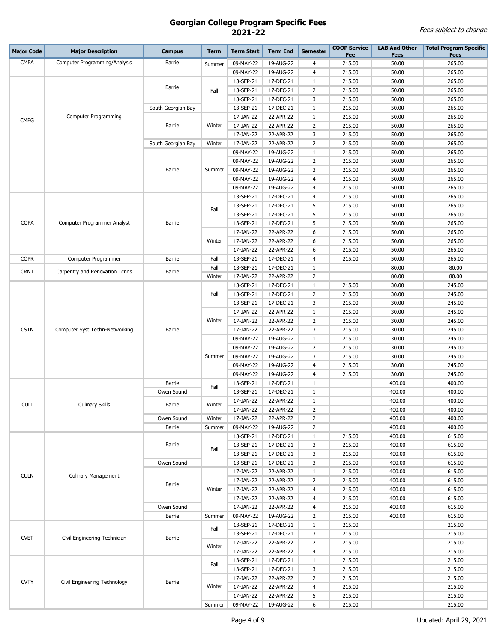| <b>Major Code</b> | <b>Major Description</b>       | <b>Campus</b>      | <b>Term</b> | <b>Term Start</b> | <b>Term End</b> | <b>Semester</b> | <b>COOP Service</b><br>Fee | <b>LAB And Other</b><br>Fees | <b>Total Program Specific</b><br><b>Fees</b> |
|-------------------|--------------------------------|--------------------|-------------|-------------------|-----------------|-----------------|----------------------------|------------------------------|----------------------------------------------|
| <b>CMPA</b>       | Computer Programming/Analysis  | Barrie             | Summer      | 09-MAY-22         | 19-AUG-22       | 4               | 215.00                     | 50.00                        | 265.00                                       |
|                   |                                |                    |             | 09-MAY-22         | 19-AUG-22       | 4               | 215.00                     | 50.00                        | 265.00                                       |
|                   |                                |                    |             | 13-SEP-21         | 17-DEC-21       | 1               | 215.00                     | 50.00                        | 265.00                                       |
|                   |                                | Barrie             | Fall        | 13-SEP-21         | 17-DEC-21       | 2               | 215.00                     | 50.00                        | 265.00                                       |
|                   |                                |                    |             | 13-SEP-21         | 17-DEC-21       | 3               | 215.00                     | 50.00                        | 265.00                                       |
|                   |                                | South Georgian Bay |             | 13-SEP-21         | 17-DEC-21       | 1               | 215.00                     | 50.00                        | 265.00                                       |
|                   | <b>Computer Programming</b>    |                    |             | 17-JAN-22         | 22-APR-22       | 1               | 215.00                     | 50.00                        | 265.00                                       |
| <b>CMPG</b>       |                                | Barrie             | Winter      | 17-JAN-22         | 22-APR-22       | 2               | 215.00                     | 50.00                        | 265.00                                       |
|                   |                                |                    |             | 17-JAN-22         | 22-APR-22       | 3               | 215.00                     | 50.00                        | 265.00                                       |
|                   |                                | South Georgian Bay | Winter      | 17-JAN-22         | 22-APR-22       | 2               | 215.00                     | 50.00                        | 265.00                                       |
|                   |                                |                    |             | 09-MAY-22         | 19-AUG-22       | 1               | 215.00                     | 50.00                        | 265.00                                       |
|                   |                                |                    |             | 09-MAY-22         | 19-AUG-22       | 2               | 215.00                     | 50.00                        | 265.00                                       |
|                   |                                | Barrie             | Summer      | 09-MAY-22         | 19-AUG-22       | 3               | 215.00                     | 50.00                        | 265.00                                       |
|                   |                                |                    |             | 09-MAY-22         | 19-AUG-22       | 4               | 215.00                     | 50.00                        | 265.00                                       |
|                   |                                |                    |             | 09-MAY-22         | 19-AUG-22       | 4               | 215.00                     | 50.00                        | 265.00                                       |
|                   |                                |                    |             | 13-SEP-21         | 17-DEC-21       | 4               | 215.00                     | 50.00                        | 265.00                                       |
|                   |                                |                    |             | 13-SEP-21         | 17-DEC-21       | 5               | 215.00                     | 50.00                        | 265.00                                       |
|                   |                                |                    | Fall        | 13-SEP-21         | 17-DEC-21       | 5               | 215.00                     | 50.00                        | 265.00                                       |
| <b>COPA</b>       | Computer Programmer Analyst    | Barrie             |             | 13-SEP-21         | 17-DEC-21       | 5               | 215.00                     | 50.00                        | 265.00                                       |
|                   |                                |                    |             | 17-JAN-22         | 22-APR-22       | 6               | 215.00                     | 50.00                        | 265.00                                       |
|                   |                                |                    | Winter      | 17-JAN-22         | 22-APR-22       | 6               | 215.00                     | 50.00                        | 265.00                                       |
|                   |                                |                    |             | 17-JAN-22         | 22-APR-22       | 6               | 215.00                     | 50.00                        | 265.00                                       |
| <b>COPR</b>       | Computer Programmer            | <b>Barrie</b>      | Fall        | 13-SEP-21         | 17-DEC-21       | 4               | 215.00                     | 50.00                        | 265.00                                       |
|                   |                                |                    | Fall        | 13-SEP-21         | 17-DEC-21       | 1               |                            | 80.00                        | 80.00                                        |
| <b>CRNT</b>       | Carpentry and Renovation Tcngs | Barrie             | Winter      | 17-JAN-22         | 22-APR-22       | $\overline{2}$  |                            | 80.00                        | 80.00                                        |
|                   |                                |                    | Fall        | 13-SEP-21         | 17-DEC-21       | $\mathbf{1}$    | 215.00                     | 30.00                        | 245.00                                       |
|                   |                                |                    |             | 13-SEP-21         | 17-DEC-21       | 2               | 215.00                     | 30.00                        | 245.00                                       |
| <b>CSTN</b>       |                                |                    |             | 13-SEP-21         | 17-DEC-21       | 3               | 215.00                     | 30.00                        | 245.00                                       |
|                   |                                |                    |             | 17-JAN-22         | 22-APR-22       | 1               | 215.00                     | 30.00                        | 245.00                                       |
|                   |                                | Barrie             | Winter      | 17-JAN-22         | 22-APR-22       | 2               | 215.00                     | 30.00                        | 245.00                                       |
|                   | Computer Syst Techn-Networking |                    |             | 17-JAN-22         | 22-APR-22       | 3               | 215.00                     | 30.00                        | 245.00                                       |
|                   |                                |                    |             | 09-MAY-22         | 19-AUG-22       | 1               | 215.00                     | 30.00                        | 245.00                                       |
|                   |                                |                    |             | 09-MAY-22         | 19-AUG-22       | 2               | 215.00                     | 30.00                        | 245.00                                       |
|                   |                                |                    | Summer      | 09-MAY-22         | 19-AUG-22       | 3               | 215.00                     | 30.00                        | 245.00                                       |
|                   |                                |                    |             | 09-MAY-22         | 19-AUG-22       | 4               | 215.00                     | 30.00                        | 245.00                                       |
|                   |                                |                    |             | 09-MAY-22         | 19-AUG-22       | 4               | 215.00                     | 30.00                        | 245.00                                       |
|                   |                                | Barrie             | Fall        | 13-SEP-21         | 17-DEC-21       | 1               |                            | 400.00                       | 400.00                                       |
|                   |                                | Owen Sound         |             | 13-SEP-21         | 17-DEC-21       | 1               |                            | 400.00                       | 400.00                                       |
| <b>CULI</b>       | <b>Culinary Skills</b>         | Barrie             | Winter      | 17-JAN-22         | 22-APR-22       | 1               |                            | 400.00                       | 400.00                                       |
|                   |                                |                    |             | 17-JAN-22         | 22-APR-22       | $\overline{2}$  |                            | 400.00                       | 400.00                                       |
|                   |                                | Owen Sound         | Winter      | 17-JAN-22         | 22-APR-22       | 2               |                            | 400.00                       | 400.00                                       |
|                   |                                | <b>Barrie</b>      | Summer      | 09-MAY-22         | 19-AUG-22       | $\overline{2}$  |                            | 400.00                       | 400.00                                       |
|                   |                                |                    |             | 13-SEP-21         | 17-DEC-21       | $\mathbf{1}$    | 215.00                     | 400.00                       | 615.00                                       |
|                   |                                | Barrie             | Fall        | 13-SEP-21         | 17-DEC-21       | 3               | 215.00                     | 400.00                       | 615.00                                       |
|                   |                                |                    |             | 13-SEP-21         | 17-DEC-21       | 3               | 215.00                     | 400.00                       | 615.00                                       |
|                   |                                | Owen Sound         |             | 13-SEP-21         | 17-DEC-21       | 3               | 215.00                     | 400.00                       | 615.00                                       |
| <b>CULN</b>       | <b>Culinary Management</b>     |                    |             | 17-JAN-22         | 22-APR-22       | $1\,$           | 215.00                     | 400.00                       | 615.00                                       |
|                   |                                | Barrie             |             | 17-JAN-22         | 22-APR-22       | $\overline{2}$  | 215.00                     | 400.00                       | 615.00                                       |
|                   |                                |                    | Winter      | 17-JAN-22         | 22-APR-22       | 4               | 215.00                     | 400.00                       | 615.00                                       |
|                   |                                |                    |             | 17-JAN-22         | 22-APR-22       | 4               | 215.00                     | 400.00                       | 615.00                                       |
|                   |                                | Owen Sound         |             | 17-JAN-22         | 22-APR-22       | 4               | 215.00                     | 400.00                       | 615.00                                       |
|                   |                                | <b>Barrie</b>      | Summer      | 09-MAY-22         | 19-AUG-22       | $\overline{2}$  | 215.00                     | 400.00                       | 615.00                                       |
|                   |                                |                    | Fall        | 13-SEP-21         | 17-DEC-21       | $\mathbf{1}$    | 215.00                     |                              | 215.00                                       |
| <b>CVET</b>       | Civil Engineering Technician   | Barrie             |             | 13-SEP-21         | 17-DEC-21       | 3               | 215.00                     |                              | 215.00                                       |
|                   |                                |                    | Winter      | 17-JAN-22         | 22-APR-22       | 2               | 215.00                     |                              | 215.00                                       |
|                   |                                |                    |             | 17-JAN-22         | 22-APR-22       | 4               | 215.00                     |                              | 215.00                                       |
|                   |                                |                    | Fall        | 13-SEP-21         | 17-DEC-21       | $\mathbf{1}$    | 215.00                     |                              | 215.00                                       |
|                   |                                |                    |             | 13-SEP-21         | 17-DEC-21       | 3               | 215.00                     |                              | 215.00                                       |
| <b>CVTY</b>       | Civil Engineering Technology   | <b>Barrie</b>      |             | 17-JAN-22         | 22-APR-22       | $\overline{2}$  | 215.00                     |                              | 215.00                                       |
|                   |                                |                    | Winter      | 17-JAN-22         | 22-APR-22       | 4               | 215.00                     |                              | 215.00                                       |
|                   |                                |                    |             | 17-JAN-22         | 22-APR-22       | 5               | 215.00                     |                              | 215.00                                       |
|                   |                                |                    | Summer      | 09-MAY-22         | 19-AUG-22       | 6               | 215.00                     |                              | 215.00                                       |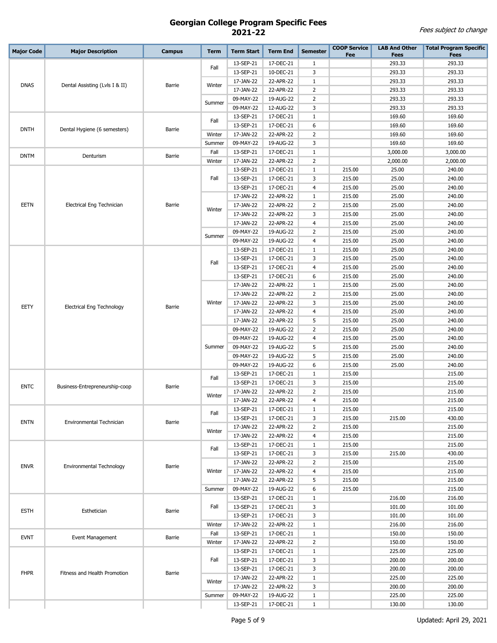| <b>Major Code</b> | <b>Major Description</b>         | <b>Campus</b> | <b>Term</b> | <b>Term Start</b>      | <b>Term End</b>        | <b>Semester</b> | <b>COOP Service</b><br>Fee | <b>LAB And Other</b><br><b>Fees</b> | <b>Total Program Specific</b><br><b>Fees</b> |
|-------------------|----------------------------------|---------------|-------------|------------------------|------------------------|-----------------|----------------------------|-------------------------------------|----------------------------------------------|
|                   |                                  |               |             | 13-SEP-21              | 17-DEC-21              | $\mathbf{1}$    |                            | 293.33                              | 293.33                                       |
|                   |                                  |               | Fall        | 13-SEP-21              | 10-DEC-21              | 3               |                            | 293.33                              | 293.33                                       |
|                   |                                  |               |             | 17-JAN-22              | 22-APR-22              | 1               |                            | 293.33                              | 293.33                                       |
| <b>DNAS</b>       | Dental Assisting (Lvls I & II)   | Barrie        | Winter      | 17-JAN-22              | 22-APR-22              | $\overline{2}$  |                            | 293.33                              | 293.33                                       |
|                   |                                  |               |             | 09-MAY-22              | 19-AUG-22              | $\overline{2}$  |                            | 293.33                              | 293.33                                       |
|                   |                                  |               | Summer      | 09-MAY-22              | 12-AUG-22              | 3               |                            | 293.33                              | 293.33                                       |
|                   |                                  |               |             | 13-SEP-21              | 17-DEC-21              | $1\,$           |                            | 169.60                              | 169.60                                       |
|                   | Dental Hygiene (6 semesters)     |               | Fall        | 13-SEP-21              | 17-DEC-21              | 6               |                            | 169.60                              | 169.60                                       |
| <b>DNTH</b>       |                                  | <b>Barrie</b> | Winter      | 17-JAN-22              | 22-APR-22              | $\overline{2}$  |                            | 169.60                              | 169.60                                       |
|                   |                                  |               | Summer      | 09-MAY-22              | 19-AUG-22              | 3               |                            | 169.60                              | 169.60                                       |
|                   |                                  |               | Fall        | 13-SEP-21              | 17-DEC-21              | $\mathbf{1}$    |                            | 3,000.00                            | 3,000.00                                     |
| <b>DNTM</b>       | Denturism                        | Barrie        | Winter      | 17-JAN-22              | 22-APR-22              | 2               |                            | 2,000.00                            | 2,000.00                                     |
|                   |                                  |               |             | 13-SEP-21              | 17-DEC-21              | $\mathbf{1}$    | 215.00                     | 25.00                               | 240.00                                       |
|                   |                                  |               | Fall        | 13-SEP-21              | 17-DEC-21              | 3               | 215.00                     | 25.00                               | 240.00                                       |
|                   |                                  |               |             | 13-SEP-21              | 17-DEC-21              | 4               | 215.00                     | 25.00                               | 240.00                                       |
|                   |                                  |               |             | 17-JAN-22              | 22-APR-22              | $\mathbf{1}$    | 215.00                     | 25.00                               | 240.00                                       |
| EETN              | Electrical Eng Technician        | Barrie        | Winter      | 17-JAN-22              | 22-APR-22              | $\overline{2}$  | 215.00                     | 25.00                               | 240.00                                       |
|                   |                                  |               |             | 17-JAN-22              | 22-APR-22              | 3               | 215.00                     | 25.00                               | 240.00                                       |
|                   |                                  |               |             | 17-JAN-22              | 22-APR-22              | $\overline{4}$  | 215.00                     | 25.00                               | 240.00                                       |
|                   |                                  |               | Summer      | 09-MAY-22              | 19-AUG-22              | $\overline{2}$  | 215.00                     | 25.00                               | 240.00                                       |
|                   |                                  |               |             | 09-MAY-22              | 19-AUG-22              | 4               | 215.00                     | 25.00                               | 240.00                                       |
|                   |                                  |               |             | 13-SEP-21              | 17-DEC-21              | $\mathbf{1}$    | 215.00                     | 25.00                               | 240.00                                       |
|                   |                                  |               | Fall        | 13-SEP-21              | 17-DEC-21              | 3               | 215.00                     | 25.00                               | 240.00                                       |
|                   |                                  | Barrie        |             | 13-SEP-21              | 17-DEC-21              | 4               | 215.00                     | 25.00                               | 240.00                                       |
|                   |                                  |               |             | 13-SEP-21              | 17-DEC-21              | 6               | 215.00                     | 25.00                               | 240.00                                       |
|                   | <b>Electrical Eng Technology</b> |               |             | 17-JAN-22              | 22-APR-22              | 1               | 215.00                     | 25.00                               | 240.00                                       |
|                   |                                  |               |             | 17-JAN-22              | 22-APR-22              | $\overline{2}$  | 215.00                     | 25.00                               | 240.00                                       |
| EETY              |                                  |               | Winter      | 17-JAN-22              | 22-APR-22              | 3               | 215.00                     | 25.00                               | 240.00                                       |
|                   |                                  |               |             | 17-JAN-22              | 22-APR-22              | $\overline{4}$  | 215.00                     | 25.00                               | 240.00                                       |
|                   |                                  |               |             | 17-JAN-22              | 22-APR-22              | 5               | 215.00                     | 25.00                               | 240.00                                       |
|                   |                                  |               |             | 09-MAY-22              | 19-AUG-22              | $\overline{2}$  | 215.00                     | 25.00                               | 240.00                                       |
|                   |                                  |               |             | 09-MAY-22              | 19-AUG-22              | 4               | 215.00                     | 25.00                               | 240.00                                       |
|                   |                                  |               | Summer      | 09-MAY-22              | 19-AUG-22              | 5               | 215.00                     | 25.00                               | 240.00                                       |
|                   |                                  |               |             | 09-MAY-22              | 19-AUG-22              | 5               | 215.00                     | 25.00                               | 240.00                                       |
|                   |                                  |               |             | 09-MAY-22              | 19-AUG-22              | 6               | 215.00                     | 25.00                               | 240.00                                       |
|                   |                                  | Barrie        | Fall        | 13-SEP-21              | 17-DEC-21              | $\mathbf{1}$    | 215.00                     |                                     | 215.00                                       |
| <b>ENTC</b>       | Business-Entrepreneurship-coop   |               |             | 13-SEP-21              | 17-DEC-21              | 3               | 215.00                     |                                     | 215.00                                       |
|                   |                                  |               | Winter      | 17-JAN-22              | 22-APR-22              | $\overline{2}$  | 215.00                     |                                     | 215.00                                       |
|                   |                                  |               |             | 17-JAN-22              | 22-APR-22              | 4               | 215.00                     |                                     | 215.00                                       |
|                   |                                  |               | Fall        | 13-SEP-21              | 17-DEC-21              | 1               | 215.00                     |                                     | 215.00                                       |
| <b>ENTN</b>       | Environmental Technician         | Barrie        |             | 13-SEP-21<br>17-JAN-22 | 17-DEC-21<br>22-APR-22 | 3<br>2          | 215.00<br>215.00           | 215.00                              | 430.00<br>215.00                             |
|                   |                                  |               | Winter      | 17-JAN-22              | 22-APR-22              | $\overline{a}$  | 215.00                     |                                     | 215.00                                       |
|                   |                                  |               |             | 13-SEP-21              | 17-DEC-21              | $\mathbf{1}$    | 215.00                     |                                     | 215.00                                       |
|                   |                                  |               | Fall        | 13-SEP-21              | 17-DEC-21              | 3               | 215.00                     | 215.00                              | 430.00                                       |
|                   |                                  |               |             | 17-JAN-22              | 22-APR-22              | $\overline{2}$  | 215.00                     |                                     | 215.00                                       |
| <b>ENVR</b>       | Environmental Technology         | <b>Barrie</b> | Winter      | 17-JAN-22              | 22-APR-22              | $\overline{a}$  | 215.00                     |                                     | 215.00                                       |
|                   |                                  |               |             | 17-JAN-22              | 22-APR-22              | 5               | 215.00                     |                                     | 215.00                                       |
|                   |                                  |               | Summer      | 09-MAY-22              | 19-AUG-22              | 6               | 215.00                     |                                     | 215.00                                       |
|                   |                                  |               |             | 13-SEP-21              | 17-DEC-21              | $\mathbf{1}$    |                            | 216.00                              | 216.00                                       |
|                   |                                  |               | Fall        | 13-SEP-21              | 17-DEC-21              | 3               |                            | 101.00                              | 101.00                                       |
| <b>ESTH</b>       | Esthetician                      | Barrie        |             | 13-SEP-21              | 17-DEC-21              | 3               |                            | 101.00                              | 101.00                                       |
|                   |                                  |               | Winter      | 17-JAN-22              | 22-APR-22              | $\mathbf{1}$    |                            | 216.00                              | 216.00                                       |
|                   |                                  |               | Fall        | 13-SEP-21              | 17-DEC-21              | $\mathbf{1}$    |                            | 150.00                              | 150.00                                       |
| <b>EVNT</b>       | Event Management                 | Barrie        | Winter      | 17-JAN-22              | 22-APR-22              | $\overline{2}$  |                            | 150.00                              | 150.00                                       |
|                   |                                  |               |             | 13-SEP-21              | 17-DEC-21              | $\mathbf{1}$    |                            | 225.00                              | 225.00                                       |
|                   |                                  |               | Fall        | 13-SEP-21              | 17-DEC-21              | 3               |                            | 200.00                              | 200.00                                       |
| <b>FHPR</b>       |                                  |               |             | 13-SEP-21              | 17-DEC-21              | 3               |                            | 200.00                              | 200.00                                       |
|                   | Fitness and Health Promotion     | <b>Barrie</b> |             | 17-JAN-22              | 22-APR-22              | $\mathbf{1}$    |                            | 225.00                              | 225.00                                       |
|                   |                                  |               | Winter      | 17-JAN-22              | 22-APR-22              | 3               |                            | 200.00                              | 200.00                                       |
|                   |                                  |               | Summer      | 09-MAY-22              | 19-AUG-22              | $\mathbf{1}$    |                            | 225.00                              | 225.00                                       |
|                   |                                  |               |             | 13-SEP-21              | 17-DEC-21              | $\mathbf{1}$    |                            | 130.00                              | 130.00                                       |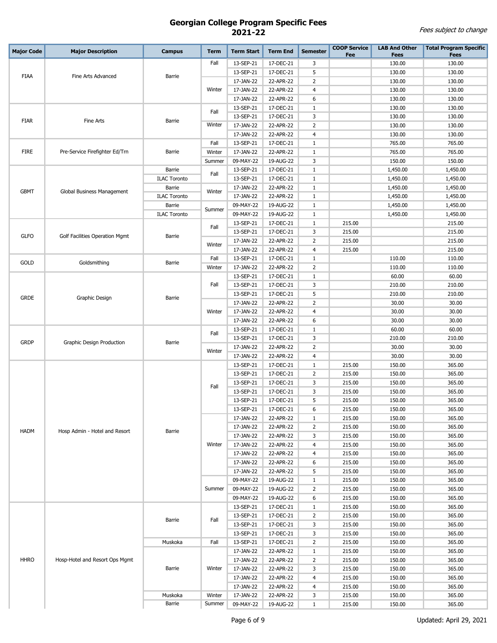| <b>Major Code</b> | <b>Major Description</b>       | <b>Campus</b>       | <b>Term</b> | <b>Term Start</b>      | <b>Term End</b>        | <b>Semester</b> | <b>COOP Service</b><br>Fee | <b>LAB And Other</b><br><b>Fees</b> | <b>Total Program Specific</b><br><b>Fees</b> |
|-------------------|--------------------------------|---------------------|-------------|------------------------|------------------------|-----------------|----------------------------|-------------------------------------|----------------------------------------------|
|                   |                                |                     | Fall        | 13-SEP-21              | 17-DEC-21              | 3               |                            | 130.00                              | 130.00                                       |
|                   |                                |                     |             | 13-SEP-21              | 17-DEC-21              | 5               |                            | 130.00                              | 130.00                                       |
| <b>FIAA</b>       | Fine Arts Advanced             | Barrie              |             | 17-JAN-22              | 22-APR-22              | $\overline{2}$  |                            | 130.00                              | 130.00                                       |
|                   |                                |                     | Winter      | 17-JAN-22              | 22-APR-22              | 4               |                            | 130.00                              | 130.00                                       |
|                   |                                |                     |             | 17-JAN-22              | 22-APR-22              | 6               |                            | 130.00                              | 130.00                                       |
|                   |                                |                     |             | 13-SEP-21              | 17-DEC-21              | $\mathbf{1}$    |                            | 130.00                              | 130.00                                       |
|                   |                                | Barrie              | Fall        | 13-SEP-21              | 17-DEC-21              | 3               |                            | 130.00                              | 130.00                                       |
| <b>FIAR</b>       | Fine Arts                      |                     | Winter      | 17-JAN-22              | 22-APR-22              | $\overline{2}$  |                            | 130.00                              | 130.00                                       |
|                   |                                |                     |             | 17-JAN-22              | 22-APR-22              | $\overline{4}$  |                            | 130.00                              | 130.00                                       |
|                   |                                |                     | Fall        | 13-SEP-21              | 17-DEC-21              | 1               |                            | 765.00                              | 765.00                                       |
| <b>FIRE</b>       | Pre-Service Firefighter Ed/Trn | Barrie              | Winter      | 17-JAN-22              | 22-APR-22              | $\mathbf{1}$    |                            | 765.00                              | 765.00                                       |
|                   |                                |                     | Summer      | 09-MAY-22              | 19-AUG-22              | 3               |                            | 150.00                              | 150.00                                       |
|                   |                                | Barrie              |             | 13-SEP-21              | 17-DEC-21              | $\mathbf{1}$    |                            | 1,450.00                            | 1,450.00                                     |
|                   |                                | <b>ILAC Toronto</b> | Fall        | 13-SEP-21              | 17-DEC-21              | $\mathbf{1}$    |                            | 1,450.00                            | 1,450.00                                     |
| <b>GBMT</b>       |                                | Barrie              | Winter      | 17-JAN-22              | 22-APR-22              | $\mathbf{1}$    |                            | 1,450.00                            | 1,450.00                                     |
|                   | Global Business Management     | <b>ILAC Toronto</b> |             | 17-JAN-22              | 22-APR-22              | $\mathbf{1}$    |                            | 1,450.00                            | 1,450.00                                     |
|                   |                                | Barrie              | Summer      | 09-MAY-22              | 19-AUG-22              | 1               |                            | 1,450.00                            | 1,450.00                                     |
|                   |                                | <b>ILAC Toronto</b> |             | 09-MAY-22              | 19-AUG-22              | 1               |                            | 1,450.00                            | 1,450.00                                     |
|                   |                                |                     | Fall        | 13-SEP-21              | 17-DEC-21              | 1               | 215.00                     |                                     | 215.00                                       |
| <b>GLFO</b>       | Golf Facilities Operation Mgmt | Barrie              |             | 13-SEP-21              | 17-DEC-21              | 3               | 215.00                     |                                     | 215.00                                       |
|                   |                                |                     | Winter      | 17-JAN-22              | 22-APR-22              | 2               | 215.00                     |                                     | 215.00                                       |
|                   |                                |                     |             | 17-JAN-22              | 22-APR-22              | 4               | 215.00                     |                                     | 215.00                                       |
| GOLD              | Goldsmithing                   | Barrie              | Fall        | 13-SEP-21              | 17-DEC-21              | 1               |                            | 110.00                              | 110.00                                       |
|                   |                                | Winter              | 17-JAN-22   | 22-APR-22              | $\overline{2}$         |                 | 110.00                     | 110.00                              |                                              |
|                   | Graphic Design                 | Barrie              |             | 13-SEP-21              | 17-DEC-21              | $\mathbf{1}$    |                            | 60.00                               | 60.00                                        |
|                   |                                |                     | Fall        | 13-SEP-21              | 17-DEC-21              | 3               |                            | 210.00                              | 210.00                                       |
| <b>GRDE</b>       |                                |                     |             | 13-SEP-21              | 17-DEC-21              | 5               |                            | 210.00                              | 210.00                                       |
|                   |                                |                     |             | 17-JAN-22              | 22-APR-22              | $\overline{2}$  |                            | 30.00                               | 30.00                                        |
|                   |                                |                     | Winter      | 17-JAN-22              | 22-APR-22              | $\overline{4}$  |                            | 30.00                               | 30.00                                        |
|                   |                                |                     |             | 17-JAN-22              | 22-APR-22              | 6               |                            | 30.00                               | 30.00                                        |
|                   | Graphic Design Production      | Barrie              | Fall        | 13-SEP-21              | 17-DEC-21              | $\mathbf{1}$    |                            | 60.00                               | 60.00                                        |
| <b>GRDP</b>       |                                |                     |             | 13-SEP-21              | 17-DEC-21              | 3               |                            | 210.00                              | 210.00                                       |
|                   |                                |                     | Winter      | 17-JAN-22              | 22-APR-22              | $\overline{2}$  |                            | 30.00                               | 30.00                                        |
|                   |                                |                     |             | 17-JAN-22              | 22-APR-22              | 4               | 215.00                     | 30.00                               | 30.00<br>365.00                              |
|                   |                                |                     | Fall        | 13-SEP-21<br>13-SEP-21 | 17-DEC-21<br>17-DEC-21 | 1<br>2          | 215.00                     | 150.00<br>150.00                    | 365.00                                       |
|                   |                                |                     |             | 13-SEP-21              | 17-DEC-21              | 3               | 215.00                     | 150.00                              | 365.00                                       |
|                   |                                |                     |             | 13-SEP-21              | 17-DEC-21              | 3               | 215.00                     | 150.00                              | 365.00                                       |
|                   |                                |                     |             | 13-SEP-21              | 17-DEC-21              | 5               | 215.00                     | 150.00                              | 365.00                                       |
|                   |                                |                     |             | 13-SEP-21              | 17-DEC-21              | 6               | 215.00                     | 150.00                              | 365.00                                       |
|                   |                                |                     |             | 17-JAN-22              | 22-APR-22              | 1               | 215.00                     | 150.00                              | 365.00                                       |
|                   |                                |                     |             | 17-JAN-22              | 22-APR-22              | 2               | 215.00                     | 150.00                              | 365.00                                       |
| <b>HADM</b>       | Hosp Admin - Hotel and Resort  | Barrie              |             | 17-JAN-22              | 22-APR-22              | 3               | 215.00                     | 150.00                              | 365.00                                       |
|                   |                                |                     | Winter      | 17-JAN-22              | 22-APR-22              | 4               | 215.00                     | 150.00                              | 365.00                                       |
|                   |                                |                     |             | 17-JAN-22              | 22-APR-22              | 4               | 215.00                     | 150.00                              | 365.00                                       |
|                   |                                |                     |             | 17-JAN-22              | 22-APR-22              | 6               | 215.00                     | 150.00                              | 365.00                                       |
|                   |                                |                     |             | 17-JAN-22              | 22-APR-22              | 5               | 215.00                     | 150.00                              | 365.00                                       |
|                   |                                |                     |             | 09-MAY-22              | 19-AUG-22              | 1               | 215.00                     | 150.00                              | 365.00                                       |
|                   |                                |                     | Summer      | 09-MAY-22              | 19-AUG-22              | 2               | 215.00                     | 150.00                              | 365.00                                       |
|                   |                                |                     |             | 09-MAY-22              | 19-AUG-22              | 6               | 215.00                     | 150.00                              | 365.00                                       |
|                   |                                |                     |             | 13-SEP-21              | 17-DEC-21              | 1               | 215.00                     | 150.00                              | 365.00                                       |
|                   |                                | Barrie              | Fall        | 13-SEP-21              | 17-DEC-21              | 2               | 215.00                     | 150.00                              | 365.00                                       |
|                   |                                |                     |             | 13-SEP-21              | 17-DEC-21              | 3               | 215.00                     | 150.00                              | 365.00                                       |
|                   |                                |                     |             | 13-SEP-21              | 17-DEC-21              | 3               | 215.00                     | 150.00                              | 365.00                                       |
|                   |                                | Muskoka             | Fall        | 13-SEP-21              | 17-DEC-21              | 2               | 215.00                     | 150.00                              | 365.00                                       |
|                   |                                |                     |             | 17-JAN-22              | 22-APR-22              | $\mathbf{1}$    | 215.00                     | 150.00                              | 365.00                                       |
| <b>HHRO</b>       | Hosp-Hotel and Resort Ops Mgmt |                     |             | 17-JAN-22              | 22-APR-22              | 2               | 215.00                     | 150.00                              | 365.00                                       |
|                   |                                | Barrie              | Winter      | 17-JAN-22              | 22-APR-22              | 3               | 215.00                     | 150.00                              | 365.00                                       |
|                   |                                |                     |             | 17-JAN-22              | 22-APR-22              | 4               | 215.00                     | 150.00                              | 365.00                                       |
|                   |                                |                     |             | 17-JAN-22              | 22-APR-22              | 4               | 215.00                     | 150.00                              | 365.00                                       |
|                   |                                | Muskoka             | Winter      | 17-JAN-22              | 22-APR-22              | 3               | 215.00                     | 150.00                              | 365.00                                       |
|                   |                                | Barrie              | Summer      | 09-MAY-22              | 19-AUG-22              | $\mathbf{1}$    | 215.00                     | 150.00                              | 365.00                                       |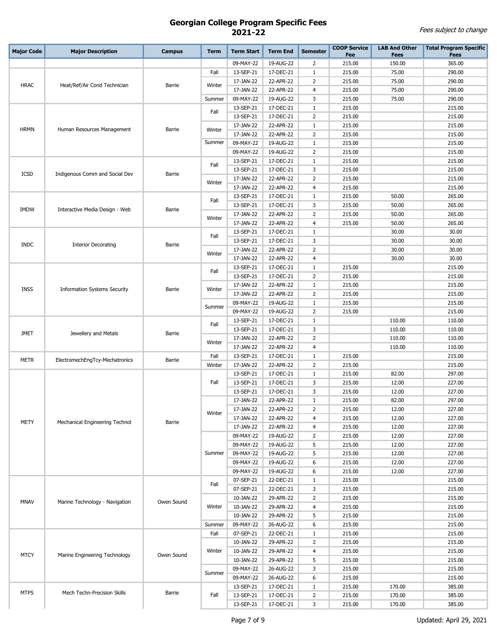| <b>Major Code</b> | <b>Major Description</b>            | <b>Campus</b> | <b>Term</b> | <b>Term Start</b>      | <b>Term End</b>        | <b>Semester</b>     | <b>COOP Service</b><br>Fee | <b>LAB And Other</b><br><b>Fees</b> | <b>Total Program Specific</b><br><b>Fees</b> |
|-------------------|-------------------------------------|---------------|-------------|------------------------|------------------------|---------------------|----------------------------|-------------------------------------|----------------------------------------------|
|                   |                                     |               |             | 09-MAY-22              | 19-AUG-22              | 2                   | 215.00                     | 150.00                              | 365.00                                       |
|                   |                                     |               | Fall        | 13-SEP-21              | 17-DEC-21              | 1                   | 215.00                     | 75.00                               | 290.00                                       |
|                   |                                     |               |             | 17-JAN-22              | 22-APR-22              | 2                   | 215.00                     | 75.00                               | 290.00                                       |
| <b>HRAC</b>       | Heat/Ref/Air Cond Technician        | Barrie        | Winter      | 17-JAN-22              | 22-APR-22              | 4                   | 215.00                     | 75.00                               | 290.00                                       |
|                   |                                     |               | Summer      | 09-MAY-22              | 19-AUG-22              | 3                   | 215.00                     | 75.00                               | 290.00                                       |
|                   |                                     |               |             | 13-SEP-21              | 17-DEC-21              | $\mathbf{1}$        | 215.00                     |                                     | 215.00                                       |
|                   |                                     |               | Fall        | 13-SEP-21              | 17-DEC-21              | $\overline{2}$      | 215.00                     |                                     | 215.00                                       |
|                   |                                     |               |             | 17-JAN-22              | 22-APR-22              | $\mathbf{1}$        | 215.00                     |                                     | 215.00                                       |
| <b>HRMN</b>       | Human Resources Management          | Barrie        | Winter      | 17-JAN-22              | 22-APR-22              | $\overline{2}$      | 215.00                     |                                     | 215.00                                       |
|                   |                                     |               | Summer      | 09-MAY-22              | 19-AUG-22              | $\mathbf{1}$        | 215.00                     |                                     | 215.00                                       |
|                   |                                     |               |             | 09-MAY-22              | 19-AUG-22              | 2                   | 215.00                     |                                     | 215.00                                       |
|                   |                                     |               | Fall        | 13-SEP-21              | 17-DEC-21              | $\mathbf{1}$        | 215.00                     |                                     | 215.00                                       |
| <b>ICSD</b>       | Indigenous Comm and Social Dev      | Barrie        |             | 13-SEP-21              | 17-DEC-21              | 3                   | 215.00                     |                                     | 215.00                                       |
|                   |                                     |               | Winter      | 17-JAN-22              | 22-APR-22              | 2                   | 215.00                     |                                     | 215.00                                       |
|                   |                                     |               |             | 17-JAN-22              | 22-APR-22              | 4                   | 215.00                     |                                     | 215.00                                       |
|                   |                                     |               | Fall        | 13-SEP-21              | 17-DEC-21              | $\mathbf{1}$        | 215.00                     | 50.00                               | 265.00                                       |
| <b>IMDW</b>       | Interactive Media Design - Web      | Barrie        |             | 13-SEP-21              | 17-DEC-21              | 3                   | 215.00                     | 50.00                               | 265.00                                       |
|                   |                                     |               | Winter      | 17-JAN-22              | 22-APR-22              | $\overline{2}$      | 215.00                     | 50.00                               | 265.00                                       |
|                   |                                     |               |             | 17-JAN-22              | 22-APR-22              | 4                   | 215.00                     | 50.00                               | 265.00                                       |
|                   |                                     |               | Fall        | 13-SEP-21              | 17-DEC-21              | $\mathbf{1}$        |                            | 30.00                               | 30.00                                        |
| <b>INDC</b>       | <b>Interior Decorating</b>          | Barrie        |             | 13-SEP-21              | 17-DEC-21              | 3                   |                            | 30.00                               | 30.00                                        |
|                   |                                     |               | Winter      | 17-JAN-22              | 22-APR-22              | $\overline{2}$      |                            | 30.00                               | 30.00                                        |
|                   |                                     |               |             | 17-JAN-22              | 22-APR-22              | 4                   |                            | 30.00                               | 30.00                                        |
| <b>INSS</b>       | <b>Information Systems Security</b> | Barrie        | Fall        | 13-SEP-21              | 17-DEC-21              | $\mathbf{1}$        | 215.00                     |                                     | 215.00                                       |
|                   |                                     |               |             | 13-SEP-21              | 17-DEC-21              | 2                   | 215.00                     |                                     | 215.00                                       |
|                   |                                     |               | Winter      | 17-JAN-22              | 22-APR-22              | $\mathbf{1}$        | 215.00                     |                                     | 215.00                                       |
|                   |                                     |               |             | 17-JAN-22              | 22-APR-22              | $\overline{2}$      | 215.00                     |                                     | 215.00                                       |
|                   |                                     |               | Summer      | 09-MAY-22              | 19-AUG-22              | $\mathbf{1}$        | 215.00                     |                                     | 215.00                                       |
|                   |                                     |               |             | 09-MAY-22<br>13-SEP-21 | 19-AUG-22<br>17-DEC-21 | $\overline{2}$<br>1 | 215.00                     | 110.00                              | 215.00<br>110.00                             |
|                   | Jewellery and Metals                | Barrie        | Fall        | 13-SEP-21              | 17-DEC-21              | 3                   |                            | 110.00                              | 110.00                                       |
| <b>JMET</b>       |                                     |               |             | 17-JAN-22              | 22-APR-22              | $\overline{2}$      |                            | 110.00                              | 110.00                                       |
|                   |                                     |               | Winter      | 17-JAN-22              | 22-APR-22              | 4                   |                            | 110.00                              | 110.00                                       |
|                   |                                     |               | Fall        | 13-SEP-21              | 17-DEC-21              | 1                   | 215.00                     |                                     | 215.00                                       |
| <b>METR</b>       | ElectromechEngTcy-Mechatronics      | Barrie        | Winter      | 17-JAN-22              | 22-APR-22              | 2                   | 215.00                     |                                     | 215.00                                       |
|                   |                                     |               |             | 13-SEP-21              | 17-DEC-21              | $\mathbf{1}$        | 215.00                     | 82.00                               | 297.00                                       |
|                   |                                     |               | Fall        | 13-SEP-21              | 17-DEC-21              | 3                   | 215.00                     | 12.00                               | 227.00                                       |
|                   |                                     |               |             | 13-SEP-21              | 17-DEC-21              | 3                   | 215.00                     | 12.00                               | 227.00                                       |
|                   |                                     |               |             | 17-JAN-22              | 22-APR-22              | 1                   | 215.00                     | 82.00                               | 297.00                                       |
|                   |                                     |               |             | 17-JAN-22              | 22-APR-22              | 2                   | 215.00                     | 12.00                               | 227.00                                       |
| <b>METY</b>       | Mechanical Engineering Technol      | Barrie        | Winter      | 17-JAN-22              | 22-APR-22              | 4                   | 215.00                     | 12.00                               | 227.00                                       |
|                   |                                     |               |             | 17-JAN-22              | 22-APR-22              | 4                   | 215.00                     | 12.00                               | 227.00                                       |
|                   |                                     |               |             | 09-MAY-22              | 19-AUG-22              | 2                   | 215.00                     | 12.00                               | 227.00                                       |
|                   |                                     |               |             | 09-MAY-22              | 19-AUG-22              | 5                   | 215.00                     | 12.00                               | 227.00                                       |
|                   |                                     |               | Summer      | 09-MAY-22              | 19-AUG-22              | 5                   | 215.00                     | 12.00                               | 227.00                                       |
|                   |                                     |               |             | 09-MAY-22              | 19-AUG-22              | 6                   | 215.00                     | 12.00                               | 227.00                                       |
|                   |                                     |               |             | 09-MAY-22              | 19-AUG-22              | 6                   | 215.00                     | 12.00                               | 227.00                                       |
|                   |                                     |               | Fall        | 07-SEP-21              | 22-DEC-21              | $\mathbf{1}$        | 215.00                     |                                     | 215.00                                       |
|                   |                                     |               |             | 07-SEP-21              | 22-DEC-21              | 3                   | 215.00                     |                                     | 215.00                                       |
| <b>MNAV</b>       | Marine Technology - Navigation      | Owen Sound    |             | 10-JAN-22              | 29-APR-22              | 2                   | 215.00                     |                                     | 215.00                                       |
|                   |                                     |               | Winter      | 10-JAN-22              | 29-APR-22              | 4                   | 215.00                     |                                     | 215.00                                       |
|                   |                                     |               |             | 10-JAN-22              | 29-APR-22              | 5                   | 215.00                     |                                     | 215.00                                       |
|                   |                                     |               | Summer      | 09-MAY-22              | 26-AUG-22              | 6                   | 215.00                     |                                     | 215.00                                       |
|                   |                                     |               | Fall        | 07-SEP-21              | 22-DEC-21              | $\mathbf{1}$        | 215.00                     |                                     | 215.00                                       |
|                   |                                     |               |             | 10-JAN-22              | 29-APR-22              | $\overline{2}$      | 215.00                     |                                     | 215.00                                       |
| <b>MTCY</b>       | Marine Engineering Technology       | Owen Sound    | Winter      | 10-JAN-22              | 29-APR-22              | 4                   | 215.00                     |                                     | 215.00                                       |
|                   |                                     |               |             | 10-JAN-22<br>09-MAY-22 | 29-APR-22<br>26-AUG-22 | 5<br>3              | 215.00<br>215.00           |                                     | 215.00<br>215.00                             |
|                   |                                     |               | Summer      | 09-MAY-22              | 26-AUG-22              | 6                   | 215.00                     |                                     | 215.00                                       |
|                   |                                     |               |             | 13-SEP-21              | 17-DEC-21              | $\mathbf{1}$        | 215.00                     | 170.00                              | 385.00                                       |
| <b>MTPS</b>       | Mech Techn-Precision Skills         | Barrie        | Fall        | 13-SEP-21              | 17-DEC-21              | 2                   | 215.00                     | 170.00                              | 385.00                                       |
|                   |                                     |               |             | 13-SEP-21              | 17-DEC-21              | 3                   | 215.00                     | 170.00                              | 385.00                                       |
|                   |                                     |               |             |                        |                        |                     |                            |                                     |                                              |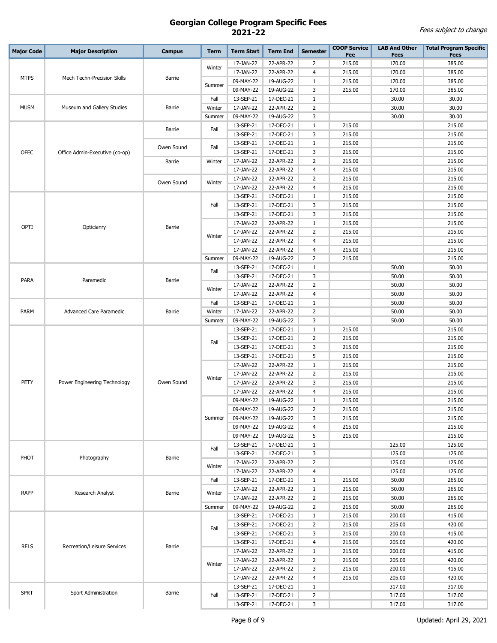| <b>Major Code</b> | <b>Major Description</b>       | <b>Campus</b> | <b>Term</b> | <b>Term Start</b> | <b>Term End</b> | <b>Semester</b> | <b>COOP Service</b> | <b>LAB And Other</b> | <b>Total Program Specific</b> |
|-------------------|--------------------------------|---------------|-------------|-------------------|-----------------|-----------------|---------------------|----------------------|-------------------------------|
|                   |                                |               |             |                   |                 |                 | Fee                 | <b>Fees</b>          | <b>Fees</b>                   |
|                   |                                |               | Winter      | 17-JAN-22         | 22-APR-22       | 2               | 215.00              | 170.00               | 385.00                        |
| <b>MTPS</b>       | Mech Techn-Precision Skills    | Barrie        |             | 17-JAN-22         | 22-APR-22       | $\overline{4}$  | 215.00              | 170.00               | 385.00                        |
|                   |                                |               | Summer      | 09-MAY-22         | 19-AUG-22       | 1               | 215.00              | 170.00               | 385.00                        |
|                   |                                |               |             | 09-MAY-22         | 19-AUG-22       | 3               | 215.00              | 170.00               | 385.00                        |
|                   |                                |               | Fall        | 13-SEP-21         | 17-DEC-21       | $\mathbf{1}$    |                     | 30.00                | 30.00                         |
| <b>MUSM</b>       | Museum and Gallery Studies     | Barrie        | Winter      | 17-JAN-22         | 22-APR-22       | $\overline{2}$  |                     | 30.00                | 30.00                         |
|                   |                                |               | Summer      | 09-MAY-22         | 19-AUG-22       | 3               |                     | 30.00                | 30.00                         |
|                   |                                | Barrie        | Fall        | 13-SEP-21         | 17-DEC-21       | $\mathbf{1}$    | 215.00              |                      | 215.00                        |
|                   |                                |               |             | 13-SEP-21         | 17-DEC-21       | 3               | 215.00              |                      | 215.00                        |
|                   |                                | Owen Sound    | Fall        | 13-SEP-21         | 17-DEC-21       | $1\,$           | 215.00              |                      | 215.00                        |
| <b>OFEC</b>       | Office Admin-Executive (co-op) |               |             | 13-SEP-21         | 17-DEC-21       | 3               | 215.00              |                      | 215.00                        |
|                   |                                | Barrie        | Winter      | 17-JAN-22         | 22-APR-22       | $\overline{2}$  | 215.00              |                      | 215.00                        |
|                   |                                |               |             | 17-JAN-22         | 22-APR-22       | $\overline{4}$  | 215.00              |                      | 215.00                        |
|                   |                                | Owen Sound    | Winter      | 17-JAN-22         | 22-APR-22       | 2               | 215.00              |                      | 215.00                        |
|                   |                                |               |             | 17-JAN-22         | 22-APR-22       | $\overline{4}$  | 215.00              |                      | 215.00                        |
|                   |                                |               |             | 13-SEP-21         | 17-DEC-21       | $\mathbf{1}$    | 215.00              |                      | 215.00                        |
|                   |                                |               | Fall        | 13-SEP-21         | 17-DEC-21       | 3               | 215.00              |                      | 215.00                        |
|                   |                                |               |             | 13-SEP-21         | 17-DEC-21       | 3               | 215.00              |                      | 215.00                        |
| OPTI              | Opticianry                     | Barrie        |             | 17-JAN-22         | 22-APR-22       | $\mathbf{1}$    | 215.00              |                      | 215.00                        |
|                   |                                |               | Winter      | 17-JAN-22         | 22-APR-22       | $\overline{2}$  | 215.00              |                      | 215.00                        |
|                   |                                |               |             | 17-JAN-22         | 22-APR-22       | $\overline{4}$  | 215.00              |                      | 215.00                        |
|                   |                                |               |             | 17-JAN-22         | 22-APR-22       | $\overline{4}$  | 215.00              |                      | 215.00                        |
|                   |                                |               | Summer      | 09-MAY-22         | 19-AUG-22       | $\overline{2}$  | 215.00              |                      | 215.00                        |
|                   |                                |               | Fall        | 13-SEP-21         | 17-DEC-21       | $1\,$           |                     | 50.00                | 50.00                         |
| PARA              | Paramedic                      | Barrie        |             | 13-SEP-21         | 17-DEC-21       | 3               |                     | 50.00                | 50.00                         |
|                   |                                |               | Winter      | 17-JAN-22         | 22-APR-22       | $\overline{2}$  |                     | 50.00                | 50.00                         |
|                   |                                |               |             | 17-JAN-22         | 22-APR-22       | $\overline{4}$  |                     | 50.00                | 50.00                         |
|                   |                                |               | Fall        | 13-SEP-21         | 17-DEC-21       | $\mathbf{1}$    |                     | 50.00                | 50.00                         |
| PARM              | <b>Advanced Care Paramedic</b> | Barrie        | Winter      | 17-JAN-22         | 22-APR-22       | $\overline{2}$  |                     | 50.00                | 50.00                         |
|                   |                                |               | Summer      | 09-MAY-22         | 19-AUG-22       | 3               |                     | 50.00                | 50.00                         |
|                   |                                |               |             | 13-SEP-21         | 17-DEC-21       | $\mathbf{1}$    | 215.00              |                      | 215.00                        |
|                   |                                |               | Fall        | 13-SEP-21         | 17-DEC-21       | $\overline{2}$  | 215.00              |                      | 215.00                        |
|                   | Power Engineering Technology   |               |             | 13-SEP-21         | 17-DEC-21       | 3               | 215.00              |                      | 215.00                        |
|                   |                                |               |             | 13-SEP-21         | 17-DEC-21       | 5               | 215.00              |                      | 215.00                        |
|                   |                                |               | Winter      | 17-JAN-22         | 22-APR-22       | $1\,$           | 215.00              |                      | 215.00                        |
|                   |                                |               |             | 17-JAN-22         | 22-APR-22       | 2               | 215.00              |                      | 215.00                        |
| PETY              |                                | Owen Sound    |             | 17-JAN-22         | 22-APR-22       | 3               | 215.00              |                      | 215.00                        |
|                   |                                |               |             | 17-JAN-22         | 22-APR-22       | $\overline{4}$  | 215.00              |                      | 215.00                        |
|                   |                                |               |             | 09-MAY-22         | 19-AUG-22       | $\mathbf{1}$    | 215.00              |                      | 215.00                        |
|                   |                                |               |             | 09-MAY-22         | 19-AUG-22       | $\overline{2}$  | 215.00              |                      | 215.00                        |
|                   |                                |               | Summer      | 09-MAY-22         | 19-AUG-22       | 3               | 215.00              |                      | 215.00                        |
|                   |                                |               |             | 09-MAY-22         | 19-AUG-22       | 4               | 215.00              |                      | 215.00                        |
|                   |                                |               |             | 09-MAY-22         | 19-AUG-22       | 5               | 215.00              |                      | 215.00                        |
|                   |                                |               | Fall        | 13-SEP-21         | 17-DEC-21       | $\mathbf{1}$    |                     | 125.00               | 125.00                        |
| PHOT              | Photography                    | Barrie        |             | 13-SEP-21         | 17-DEC-21       | 3               |                     | 125.00               | 125.00                        |
|                   |                                |               | Winter      | 17-JAN-22         | 22-APR-22       | $\overline{2}$  |                     | 125.00               | 125.00                        |
|                   |                                |               |             | 17-JAN-22         | 22-APR-22       | $\overline{4}$  |                     | 125.00               | 125.00                        |
|                   |                                |               | Fall        | 13-SEP-21         | 17-DEC-21       | $\mathbf{1}$    | 215.00              | 50.00                | 265.00                        |
| <b>RAPP</b>       | Research Analyst               | Barrie        | Winter      | 17-JAN-22         | 22-APR-22       | $1\,$           | 215.00              | 50.00                | 265.00                        |
|                   |                                |               |             | 17-JAN-22         | 22-APR-22       | $\overline{2}$  | 215.00              | 50.00                | 265.00                        |
|                   |                                |               | Summer      | 09-MAY-22         | 19-AUG-22       | $\overline{2}$  | 215.00              | 50.00                | 265.00                        |
|                   |                                |               |             | 13-SEP-21         | 17-DEC-21       | $1\,$           | 215.00              | 200.00               | 415.00                        |
|                   |                                |               | Fall        | 13-SEP-21         | 17-DEC-21       | $\overline{2}$  | 215.00              | 205.00               | 420.00                        |
|                   |                                |               |             | 13-SEP-21         | 17-DEC-21       | 3               | 215.00              | 200.00               | 415.00                        |
| <b>RELS</b>       | Recreation/Leisure Services    | Barrie        |             | 13-SEP-21         | 17-DEC-21       | $\overline{4}$  | 215.00              | 205.00               | 420.00                        |
|                   |                                |               |             | 17-JAN-22         | 22-APR-22       | $\mathbf{1}$    | 215.00              | 200.00               | 415.00                        |
|                   |                                |               | Winter      | 17-JAN-22         | 22-APR-22       | $\overline{2}$  | 215.00              | 205.00               | 420.00                        |
|                   |                                |               |             | 17-JAN-22         | 22-APR-22       | 3               | 215.00              | 200.00               | 415.00                        |
|                   |                                |               |             | 17-JAN-22         | 22-APR-22       | $\overline{4}$  | 215.00              | 205.00               | 420.00                        |
|                   |                                |               |             | 13-SEP-21         | 17-DEC-21       | $\mathbf{1}$    |                     | 317.00               | 317.00                        |
| <b>SPRT</b>       | Sport Administration           | Barrie        | Fall        | 13-SEP-21         | 17-DEC-21       | $\overline{2}$  |                     | 317.00               | 317.00                        |
|                   |                                |               |             | 13-SEP-21         | 17-DEC-21       | 3               |                     | 317.00               | 317.00                        |